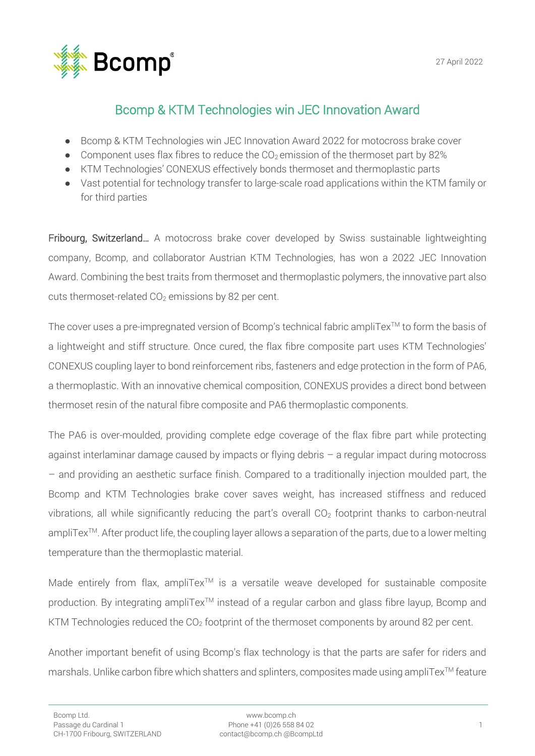

# Bcomp & KTM Technologies win JEC Innovation Award

- Bcomp & KTM Technologies win JEC Innovation Award 2022 for motocross brake cover
- Component uses flax fibres to reduce the  $CO<sub>2</sub>$  emission of the thermoset part by 82%
- KTM Technologies' CONEXUS effectively bonds thermoset and thermoplastic parts
- Vast potential for technology transfer to large-scale road applications within the KTM family or for third parties

Fribourg, Switzerland... A motocross brake cover developed by Swiss sustainable lightweighting company, Bcomp, and collaborator Austrian KTM Technologies, has won a 2022 JEC Innovation Award. Combining the best traits from thermoset and thermoplastic polymers, the innovative part also cuts thermoset-related  $CO<sub>2</sub>$  emissions by 82 per cent.

The cover uses a pre-impregnated version of Bcomp's technical fabric ampliTex™ to form the basis of a lightweight and stiff structure. Once cured, the flax fibre composite part uses KTM Technologies' CONEXUS coupling layer to bond reinforcement ribs, fasteners and edge protection in the form of PA6, a thermoplastic. With an innovative chemical composition, CONEXUS provides a direct bond between thermoset resin of the natural fibre composite and PA6 thermoplastic components.

The PA6 is over-moulded, providing complete edge coverage of the flax fibre part while protecting against interlaminar damage caused by impacts or flying debris – a regular impact during motocross – and providing an aesthetic surface finish. Compared to a traditionally injection moulded part, the Bcomp and KTM Technologies brake cover saves weight, has increased stiffness and reduced vibrations, all while significantly reducing the part's overall  $CO<sub>2</sub>$  footprint thanks to carbon-neutral ampliTex<sup>™</sup>. After product life, the coupling layer allows a separation of the parts, due to a lower melting temperature than the thermoplastic material.

Made entirely from flax, ampliTex<sup>™</sup> is a versatile weave developed for sustainable composite production. By integrating ampliTex<sup>™</sup> instead of a regular carbon and glass fibre layup, Bcomp and KTM Technologies reduced the  $CO<sub>2</sub>$  footprint of the thermoset components by around 82 per cent.

Another important benefit of using Bcomp's flax technology is that the parts are safer for riders and marshals. Unlike carbon fibre which shatters and splinters, composites made using ampliTex™ feature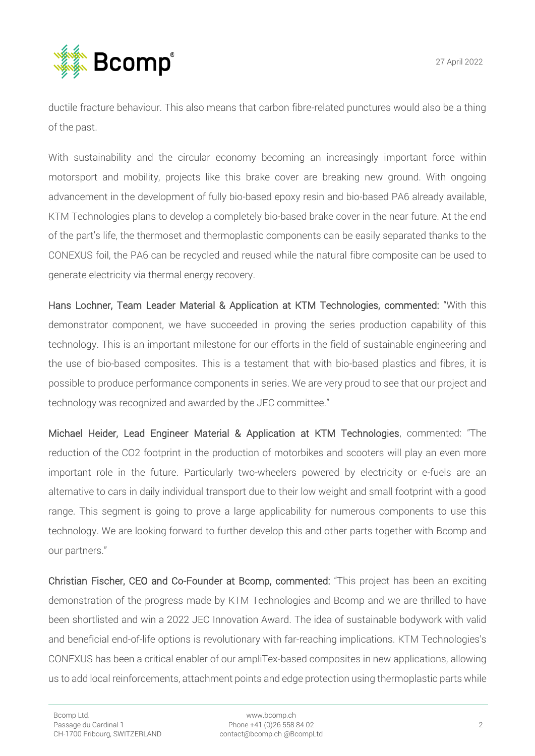

ductile fracture behaviour. This also means that carbon fibre-related punctures would also be a thing of the past.

With sustainability and the circular economy becoming an increasingly important force within motorsport and mobility, projects like this brake cover are breaking new ground. With ongoing advancement in the development of fully bio-based epoxy resin and bio-based PA6 already available, KTM Technologies plans to develop a completely bio-based brake cover in the near future. At the end of the part's life, the thermoset and thermoplastic components can be easily separated thanks to the CONEXUS foil, the PA6 can be recycled and reused while the natural fibre composite can be used to generate electricity via thermal energy recovery.

Hans Lochner, Team Leader Material & Application at KTM Technologies, commented: "With this demonstrator component, we have succeeded in proving the series production capability of this technology. This is an important milestone for our efforts in the field of sustainable engineering and the use of bio-based composites. This is a testament that with bio-based plastics and fibres, it is possible to produce performance components in series. We are very proud to see that our project and technology was recognized and awarded by the JEC committee."

Michael Heider, Lead Engineer Material & Application at KTM Technologies, commented: "The reduction of the CO2 footprint in the production of motorbikes and scooters will play an even more important role in the future. Particularly two-wheelers powered by electricity or e-fuels are an alternative to cars in daily individual transport due to their low weight and small footprint with a good range. This segment is going to prove a large applicability for numerous components to use this technology. We are looking forward to further develop this and other parts together with Bcomp and our partners."

Christian Fischer, CEO and Co-Founder at Bcomp, commented: "This project has been an exciting demonstration of the progress made by KTM Technologies and Bcomp and we are thrilled to have been shortlisted and win a 2022 JEC Innovation Award. The idea of sustainable bodywork with valid and beneficial end-of-life options is revolutionary with far-reaching implications. KTM Technologies's CONEXUS has been a critical enabler of our ampliTex-based composites in new applications, allowing us to add local reinforcements, attachment points and edge protection using thermoplastic parts while